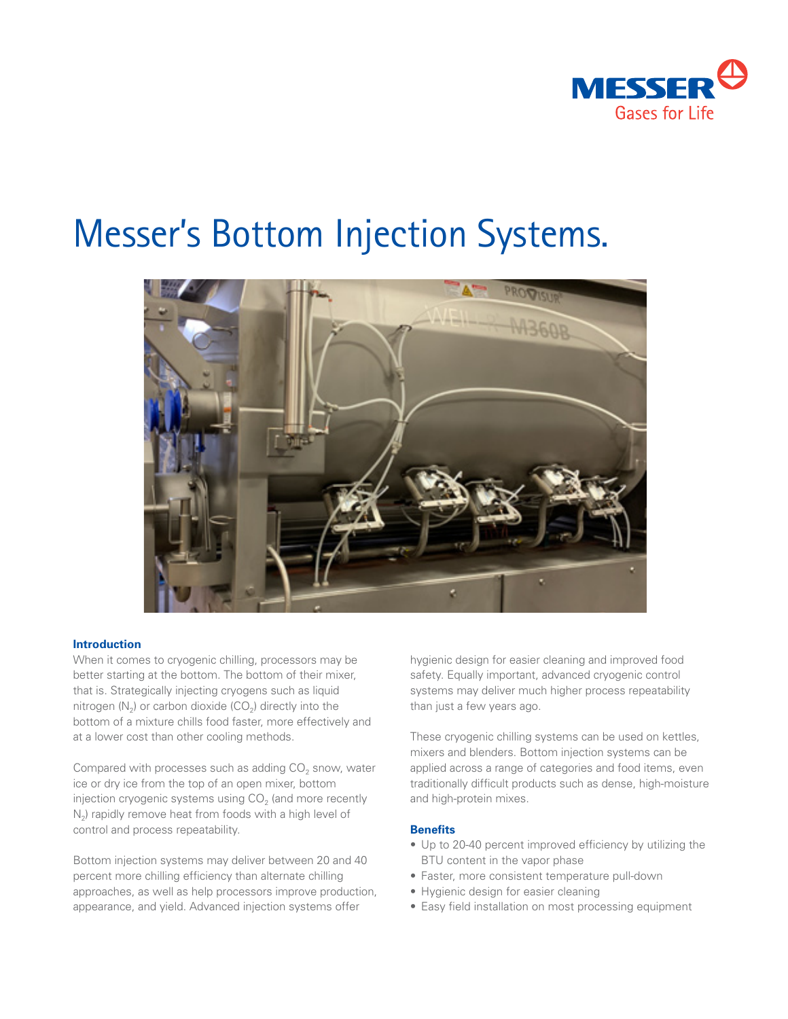

# Messer's Bottom Injection Systems.



## **Introduction**

When it comes to cryogenic chilling, processors may be better starting at the bottom. The bottom of their mixer, that is. Strategically injecting cryogens such as liquid nitrogen  $(N_2)$  or carbon dioxide  $(CO_2)$  directly into the bottom of a mixture chills food faster, more effectively and at a lower cost than other cooling methods.

Compared with processes such as adding  $CO<sub>2</sub>$  snow, water ice or dry ice from the top of an open mixer, bottom injection cryogenic systems using  $CO<sub>2</sub>$  (and more recently  $N_2$ ) rapidly remove heat from foods with a high level of control and process repeatability.

Bottom injection systems may deliver between 20 and 40 percent more chilling efficiency than alternate chilling approaches, as well as help processors improve production, appearance, and yield. Advanced injection systems offer

hygienic design for easier cleaning and improved food safety. Equally important, advanced cryogenic control systems may deliver much higher process repeatability than just a few years ago.

These cryogenic chilling systems can be used on kettles, mixers and blenders. Bottom injection systems can be applied across a range of categories and food items, even traditionally difficult products such as dense, high-moisture and high-protein mixes.

## **Benefits**

- Up to 20-40 percent improved efficiency by utilizing the BTU content in the vapor phase
- Faster, more consistent temperature pull-down
- Hygienic design for easier cleaning
- Easy field installation on most processing equipment